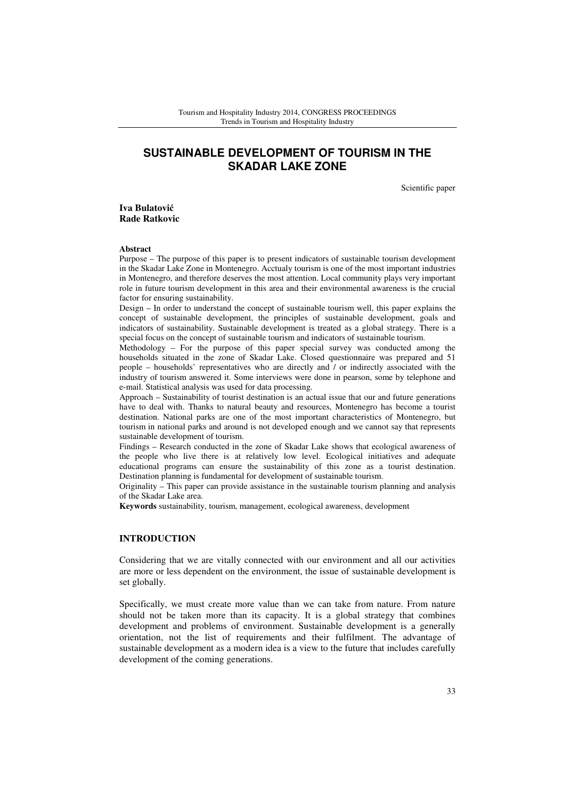# **SUSTAINABLE DEVELOPMENT OF TOURISM IN THE SKADAR LAKE ZONE**

Scientific paper

**Iva Bulatovi**ć **Rade Ratkovic** 

#### **Abstract**

Purpose – The purpose of this paper is to present indicators of sustainable tourism development in the Skadar Lake Zone in Montenegro. Acctualy tourism is one of the most important industries in Montenegro, and therefore deserves the most attention. Local community plays very important role in future tourism development in this area and their environmental awareness is the crucial factor for ensuring sustainability.

Design – In order to understand the concept of sustainable tourism well, this paper explains the concept of sustainable development, the principles of sustainable development, goals and indicators of sustainability. Sustainable development is treated as a global strategy. There is a special focus on the concept of sustainable tourism and indicators of sustainable tourism.

Methodology – For the purpose of this paper special survey was conducted among the households situated in the zone of Skadar Lake. Closed questionnaire was prepared and 51 people – households' representatives who are directly and / or indirectly associated with the industry of tourism answered it. Some interviews were done in pearson, some by telephone and e-mail. Statistical analysis was used for data processing.

Approach – Sustainability of tourist destination is an actual issue that our and future generations have to deal with. Thanks to natural beauty and resources, Montenegro has become a tourist destination. National parks are one of the most important characteristics of Montenegro, but tourism in national parks and around is not developed enough and we cannot say that represents sustainable development of tourism.

Findings – Research conducted in the zone of Skadar Lake shows that ecological awareness of the people who live there is at relatively low level. Ecological initiatives and adequate educational programs can ensure the sustainability of this zone as a tourist destination. Destination planning is fundamental for development of sustainable tourism.

Originality – This paper can provide assistance in the sustainable tourism planning and analysis of the Skadar Lake area.

**Keywords** sustainability, tourism, management, ecological awareness, development

# **INTRODUCTION**

Considering that we are vitally connected with our environment and all our activities are more or less dependent on the environment, the issue of sustainable development is set globally.

Specifically, we must create more value than we can take from nature. From nature should not be taken more than its capacity. It is a global strategy that combines development and problems of environment. Sustainable development is a generally orientation, not the list of requirements and their fulfilment. The advantage of sustainable development as a modern idea is a view to the future that includes carefully development of the coming generations.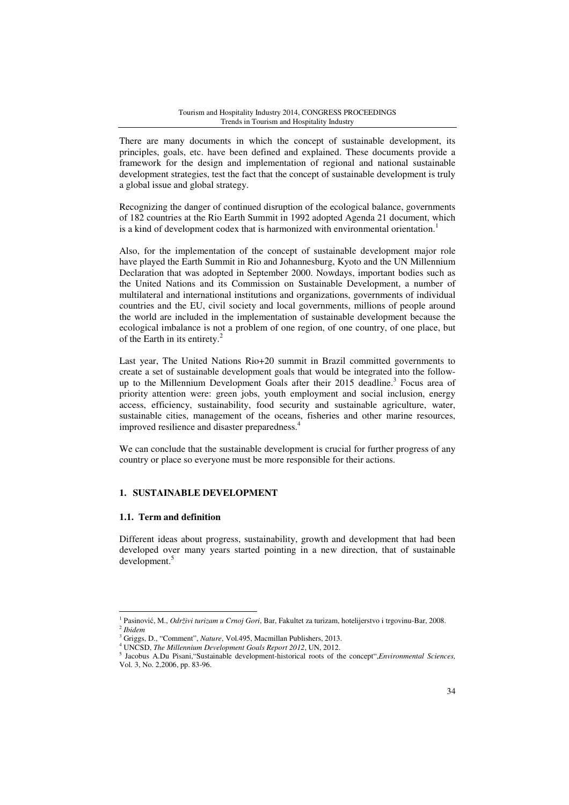There are many documents in which the concept of sustainable development, its principles, goals, etc. have been defined and explained. These documents provide a framework for the design and implementation of regional and national sustainable development strategies, test the fact that the concept of sustainable development is truly a global issue and global strategy.

Recognizing the danger of continued disruption of the ecological balance, governments of 182 countries at the Rio Earth Summit in 1992 adopted Agenda 21 document, which is a kind of development codex that is harmonized with environmental orientation.<sup>1</sup>

Also, for the implementation of the concept of sustainable development major role have played the Earth Summit in Rio and Johannesburg, Kyoto and the UN Millennium Declaration that was adopted in September 2000. Nowdays, important bodies such as the United Nations and its Commission on Sustainable Development, a number of multilateral and international institutions and organizations, governments of individual countries and the EU, civil society and local governments, millions of people around the world are included in the implementation of sustainable development because the ecological imbalance is not a problem of one region, of one country, of one place, but of the Earth in its entirety.<sup>2</sup>

Last year, The United Nations Rio+20 summit in Brazil committed governments to create a set of sustainable development goals that would be integrated into the followup to the Millennium Development Goals after their 2015 deadline.<sup>3</sup> Focus area of priority attention were: green jobs, youth employment and social inclusion, energy access, efficiency, sustainability, food security and sustainable agriculture, water, sustainable cities, management of the oceans, fisheries and other marine resources, improved resilience and disaster preparedness.<sup>4</sup>

We can conclude that the sustainable development is crucial for further progress of any country or place so everyone must be more responsible for their actions.

# **1. SUSTAINABLE DEVELOPMENT**

# **1.1. Term and definition**

l

Different ideas about progress, sustainability, growth and development that had been developed over many years started pointing in a new direction, that of sustainable development.<sup>5</sup>

<sup>1</sup> Pasinović, M., *Održivi turizam u Crnoj Gori*, Bar, Fakultet za turizam, hotelijerstvo i trgovinu-Bar, 2008. 2 *Ibidem*

<sup>3</sup> Griggs, D., "Comment", *Nature*, Vol.495, Macmillan Publishers, 2013.

<sup>4</sup> UNCSD, *The Millennium Development Goals Report 2012*, UN, 2012.

<sup>5</sup> Jacobus A.Du Pisani,"Sustainable development-historical roots of the concept",*Environmental Sciences,* Vol. 3, No. 2,2006, pp. 83-96.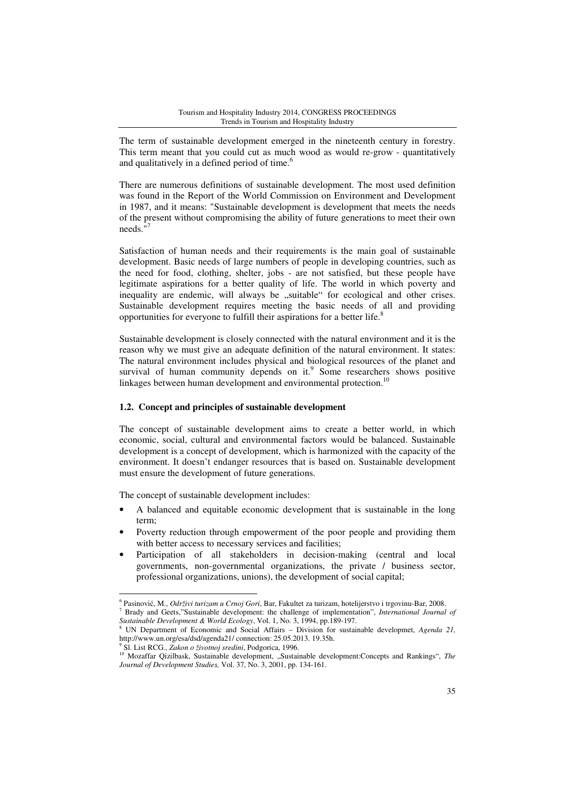The term of sustainable development emerged in the nineteenth century in forestry. This term meant that you could cut as much wood as would re-grow - quantitatively and qualitatively in a defined period of time.<sup>6</sup>

There are numerous definitions of sustainable development. The most used definition was found in the Report of the World Commission on Environment and Development in 1987, and it means: "Sustainable development is development that meets the needs of the present without compromising the ability of future generations to meet their own needs."<sup>7</sup>

Satisfaction of human needs and their requirements is the main goal of sustainable development. Basic needs of large numbers of people in developing countries, such as the need for food, clothing, shelter, jobs - are not satisfied, but these people have legitimate aspirations for a better quality of life. The world in which poverty and inequality are endemic, will always be "suitable" for ecological and other crises. Sustainable development requires meeting the basic needs of all and providing opportunities for everyone to fulfill their aspirations for a better life.<sup>8</sup>

Sustainable development is closely connected with the natural environment and it is the reason why we must give an adequate definition of the natural environment. It states: The natural environment includes physical and biological resources of the planet and survival of human community depends on it.<sup>9</sup> Some researchers shows positive linkages between human development and environmental protection.<sup>10</sup>

# **1.2. Concept and principles of sustainable development**

The concept of sustainable development aims to create a better world, in which economic, social, cultural and environmental factors would be balanced. Sustainable development is a concept of development, which is harmonized with the capacity of the environment. It doesn't endanger resources that is based on. Sustainable development must ensure the development of future generations.

The concept of sustainable development includes:

- A balanced and equitable economic development that is sustainable in the long term;
- Poverty reduction through empowerment of the poor people and providing them with better access to necessary services and facilities;
- Participation of all stakeholders in decision-making (central and local governments, non-governmental organizations, the private / business sector, professional organizations, unions), the development of social capital;

9 Sl. List RCG., *Zakon o životnoj sredini*, Podgorica, 1996.

<sup>6</sup> Pasinović, M., *Održivi turizam u Crnoj Gori*, Bar, Fakultet za turizam, hotelijerstvo i trgovinu-Bar, 2008. 7 Brady and Geets,"Sustainable development: the challenge of implementation", *International Journal of Sustainable Development & World Ecology*, Vol. 1, No. 3, 1994, pp.189-197.

<sup>8</sup> UN Department of Economic and Social Affairs – Division for sustainable developmet, *Agenda 21,*  http://www.un.org/esa/dsd/agenda21/ connection: 25.05.2013. 19.35h.

<sup>10</sup> Mozaffar Qizilbask, Sustainable development, "Sustainable development:Concepts and Rankings", The *Journal of Development Studies,* Vol. 37, No. 3, 2001, pp. 134-161.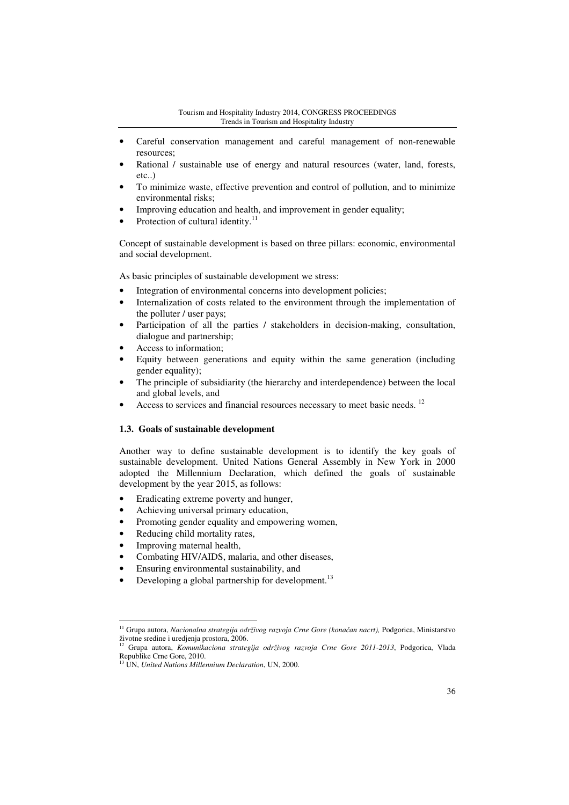- Careful conservation management and careful management of non-renewable resources;
- Rational / sustainable use of energy and natural resources (water, land, forests, etc..)
- To minimize waste, effective prevention and control of pollution, and to minimize environmental risks;
- Improving education and health, and improvement in gender equality;
- Protection of cultural identity.<sup>11</sup>

Concept of sustainable development is based on three pillars: economic, environmental and social development.

As basic principles of sustainable development we stress:

- Integration of environmental concerns into development policies;
- Internalization of costs related to the environment through the implementation of the polluter / user pays;
- Participation of all the parties / stakeholders in decision-making, consultation, dialogue and partnership;
- Access to information;
- Equity between generations and equity within the same generation (including gender equality);
- The principle of subsidiarity (the hierarchy and interdependence) between the local and global levels, and
- Access to services and financial resources necessary to meet basic needs. <sup>12</sup>

### **1.3. Goals of sustainable development**

Another way to define sustainable development is to identify the key goals of sustainable development. United Nations General Assembly in New York in 2000 adopted the Millennium Declaration, which defined the goals of sustainable development by the year 2015, as follows:

- Eradicating extreme poverty and hunger,
- Achieving universal primary education,
- Promoting gender equality and empowering women,
- Reducing child mortality rates,
- Improving maternal health,

- Combating HIV/AIDS, malaria, and other diseases,
- Ensuring environmental sustainability, and
- Developing a global partnership for development.<sup>13</sup>

<sup>11</sup> Grupa autora, *Nacionalna strategija održivog razvoja Crne Gore (kona*č*an nacrt),* Podgorica, Ministarstvo životne sredine i uredjenja prostora, 2006.

<sup>12</sup> Grupa autora, *Komunikaciona strategija održivog razvoja Crne Gore 2011-2013*, Podgorica, Vlada Republike Crne Gore, 2010.

<sup>13</sup> UN, *United Nations Millennium Declaration*, UN, 2000.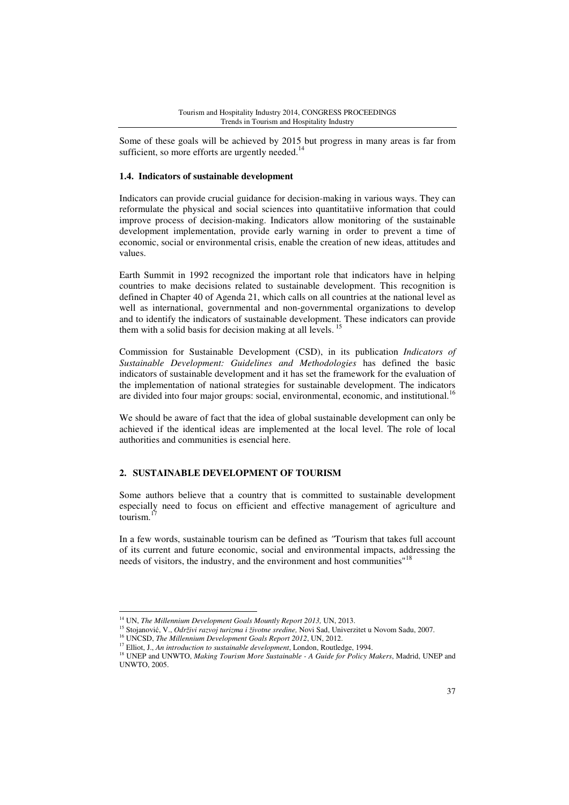Some of these goals will be achieved by 2015 but progress in many areas is far from sufficient, so more efforts are urgently needed. $14$ 

### **1.4. Indicators of sustainable development**

Indicators can provide crucial guidance for decision-making in various ways. They can reformulate the physical and social sciences into quantitatiive information that could improve process of decision-making. Indicators allow monitoring of the sustainable development implementation, provide early warning in order to prevent a time of economic, social or environmental crisis, enable the creation of new ideas, attitudes and values.

Earth Summit in 1992 recognized the important role that indicators have in helping countries to make decisions related to sustainable development. This recognition is defined in Chapter 40 of Agenda 21, which calls on all countries at the national level as well as international, governmental and non-governmental organizations to develop and to identify the indicators of sustainable development. These indicators can provide them with a solid basis for decision making at all levels.<sup>15</sup>

Commission for Sustainable Development (CSD), in its publication *Indicators of Sustainable Development: Guidelines and Methodologies* has defined the basic indicators of sustainable development and it has set the framework for the evaluation of the implementation of national strategies for sustainable development. The indicators are divided into four major groups: social, environmental, economic, and institutional.<sup>16</sup>

We should be aware of fact that the idea of global sustainable development can only be achieved if the identical ideas are implemented at the local level. The role of local authorities and communities is esencial here.

### **2. SUSTAINABLE DEVELOPMENT OF TOURISM**

Some authors believe that a country that is committed to sustainable development especially need to focus on efficient and effective management of agriculture and tourism.<sup>1</sup>

In a few words, sustainable tourism can be defined as *"*Tourism that takes full account of its current and future economic, social and environmental impacts, addressing the needs of visitors, the industry, and the environment and host communities"<sup>18</sup>

<sup>14</sup> UN, *The Millennium Development Goals Mountly Report 2013,* UN, 2013.

<sup>15</sup> Stojanović, V., *Održivi razvoj turizma i životne sredine,* Novi Sad, Univerzitet u Novom Sadu, 2007.

<sup>16</sup> UNCSD, *The Millennium Development Goals Report 2012*, UN, 2012.

<sup>&</sup>lt;sup>17</sup> Elliot, J., *An introduction to sustainable development*, London, Routledge, 1994.

<sup>&</sup>lt;sup>18</sup> UNEP and UNWTO, *Making Tourism More Sustainable - A Guide for Policy Makers*, Madrid, UNEP and UNWTO, 2005.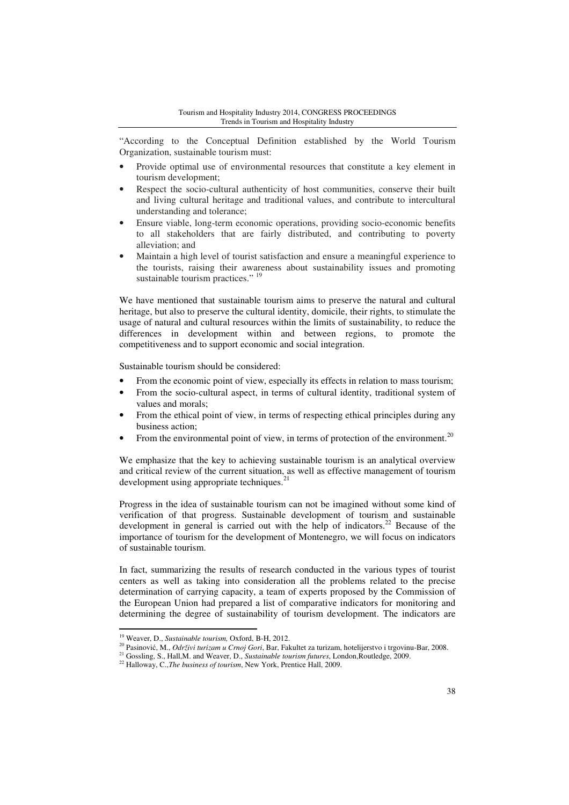"According to the Conceptual Definition established by the World Tourism Organization, sustainable tourism must:

- Provide optimal use of environmental resources that constitute a key element in tourism development;
- Respect the socio-cultural authenticity of host communities, conserve their built and living cultural heritage and traditional values, and contribute to intercultural understanding and tolerance;
- Ensure viable, long-term economic operations, providing socio-economic benefits to all stakeholders that are fairly distributed, and contributing to poverty alleviation; and
- Maintain a high level of tourist satisfaction and ensure a meaningful experience to the tourists, raising their awareness about sustainability issues and promoting sustainable tourism practices." <sup>19</sup>

We have mentioned that sustainable tourism aims to preserve the natural and cultural heritage, but also to preserve the cultural identity, domicile, their rights, to stimulate the usage of natural and cultural resources within the limits of sustainability, to reduce the differences in development within and between regions, to promote the competitiveness and to support economic and social integration.

Sustainable tourism should be considered:

- From the economic point of view, especially its effects in relation to mass tourism;
- From the socio-cultural aspect, in terms of cultural identity, traditional system of values and morals;
- From the ethical point of view, in terms of respecting ethical principles during any business action;
- From the environmental point of view, in terms of protection of the environment.<sup>20</sup>

We emphasize that the key to achieving sustainable tourism is an analytical overview and critical review of the current situation, as well as effective management of tourism development using appropriate techniques.<sup>21</sup>

Progress in the idea of sustainable tourism can not be imagined without some kind of verification of that progress. Sustainable development of tourism and sustainable development in general is carried out with the help of indicators.<sup>22</sup> Because of the importance of tourism for the development of Montenegro, we will focus on indicators of sustainable tourism.

In fact, summarizing the results of research conducted in the various types of tourist centers as well as taking into consideration all the problems related to the precise determination of carrying capacity, a team of experts proposed by the Commission of the European Union had prepared a list of comparative indicators for monitoring and determining the degree of sustainability of tourism development. The indicators are

<sup>19</sup> Weaver, D., *Sustainable tourism,* Oxford, B-H, 2012.

<sup>20</sup> Pasinović, M., *Održivi turizam u Crnoj Gori*, Bar, Fakultet za turizam, hotelijerstvo i trgovinu-Bar, 2008.

<sup>21</sup> Gossling, S., Hall,M. and Weaver, D., *Sustainable tourism futures*, London,Routledge, 2009.

<sup>&</sup>lt;sup>22</sup> Halloway, C.,*The business of tourism*, New York, Prentice Hall, 2009.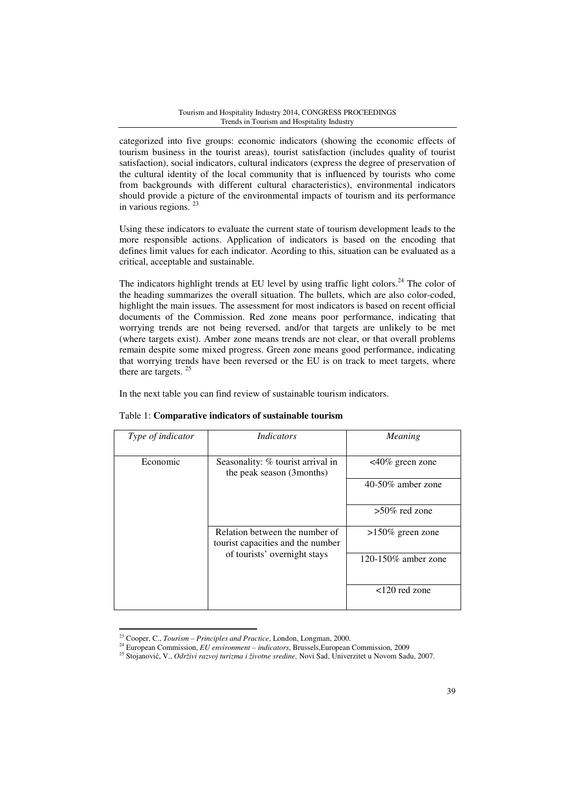categorized into five groups: economic indicators (showing the economic effects of tourism business in the tourist areas), tourist satisfaction (includes quality of tourist satisfaction), social indicators, cultural indicators (express the degree of preservation of the cultural identity of the local community that is influenced by tourists who come from backgrounds with different cultural characteristics), environmental indicators should provide a picture of the environmental impacts of tourism and its performance in various regions.<sup>23</sup>

Using these indicators to evaluate the current state of tourism development leads to the more responsible actions. Application of indicators is based on the encoding that defines limit values for each indicator. Acording to this, situation can be evaluated as a critical, acceptable and sustainable.

The indicators highlight trends at EU level by using traffic light colors.<sup>24</sup> The color of the heading summarizes the overall situation. The bullets, which are also color-coded, highlight the main issues. The assessment for most indicators is based on recent official documents of the Commission. Red zone means poor performance, indicating that worrying trends are not being reversed, and/or that targets are unlikely to be met (where targets exist). Amber zone means trends are not clear, or that overall problems remain despite some mixed progress. Green zone means good performance, indicating that worrying trends have been reversed or the EU is on track to meet targets, where there are targets.  $25$ 

In the next table you can find review of sustainable tourism indicators.

| Type of indicator | <i>Indicators</i>                                                   | Meaning              |
|-------------------|---------------------------------------------------------------------|----------------------|
| Economic          | Seasonality: % tourist arrival in<br>the peak season (3months)      | $<40\%$ green zone   |
|                   |                                                                     | $40-50\%$ amber zone |
|                   |                                                                     | $>50\%$ red zone     |
|                   | Relation between the number of<br>tourist capacities and the number | $>150\%$ green zone  |
|                   | of tourists' overnight stays                                        | 120-150\% amber zone |
|                   |                                                                     | $120$ red zone       |

# Table 1: **Comparative indicators of sustainable tourism**

<sup>23</sup> Cooper, C., *Tourism – Principles and Practice*, London, Longman, 2000.

<sup>24</sup> European Commission, *EU environment – indicators*, Brussels,European Commission, 2009

<sup>25</sup> Stojanović, V., *Održivi razvoj turizma i životne sredine,* Novi Sad, Univerzitet u Novom Sadu, 2007.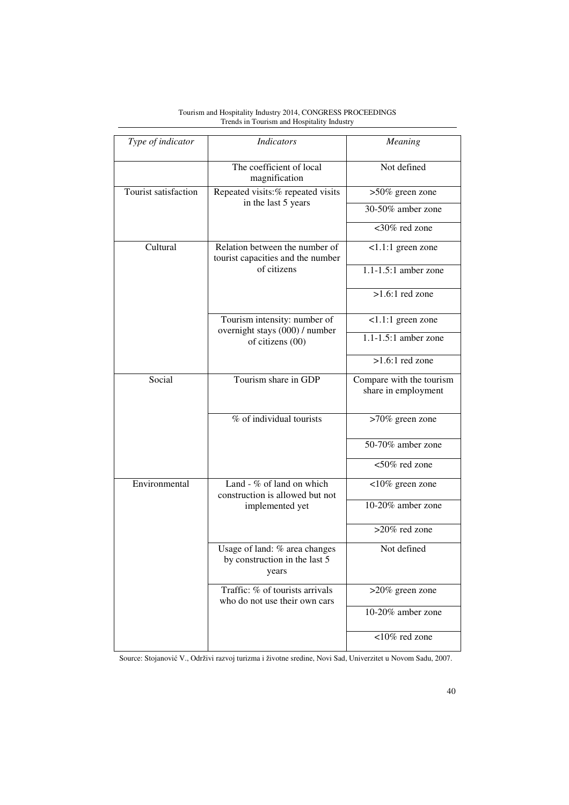| Type of indicator    | <b>Indicators</b>                                                       | Meaning                                         |
|----------------------|-------------------------------------------------------------------------|-------------------------------------------------|
|                      | The coefficient of local<br>magnification                               | Not defined                                     |
| Tourist satisfaction | Repeated visits:% repeated visits                                       | >50% green zone                                 |
|                      | in the last 5 years                                                     | 30-50% amber zone                               |
|                      |                                                                         | <30% red zone                                   |
| Cultural             | Relation between the number of<br>tourist capacities and the number     | $1.1:1$ green zone                              |
|                      | of citizens                                                             | $1.1 - 1.5:1$ amber zone                        |
|                      |                                                                         | $>1.6:1$ red zone                               |
|                      | Tourism intensity: number of<br>overnight stays (000) / number          | $1.1:1$ green zone                              |
|                      | of citizens (00)                                                        | $1.1 - 1.5:1$ amber zone                        |
|                      |                                                                         | $>1.6:1$ red zone                               |
| Social               | Tourism share in GDP                                                    | Compare with the tourism<br>share in employment |
|                      | % of individual tourists                                                | >70% green zone                                 |
|                      |                                                                         | 50-70% amber zone                               |
|                      |                                                                         | <50% red zone                                   |
| Environmental        | Land - % of land on which<br>construction is allowed but not            | <10% green zone                                 |
|                      | implemented yet                                                         | 10-20% amber zone                               |
|                      |                                                                         | $>20\%$ red zone                                |
|                      | Usage of land: % area changes<br>by construction in the last 5<br>years | Not defined                                     |
|                      | Traffic: % of tourists arrivals<br>who do not use their own cars        | $>20\%$ green zone                              |
|                      |                                                                         | 10-20% amber zone                               |
|                      |                                                                         | <10% red zone                                   |

Source: Stojanović V., Održivi razvoj turizma i životne sredine, Novi Sad, Univerzitet u Novom Sadu, 2007.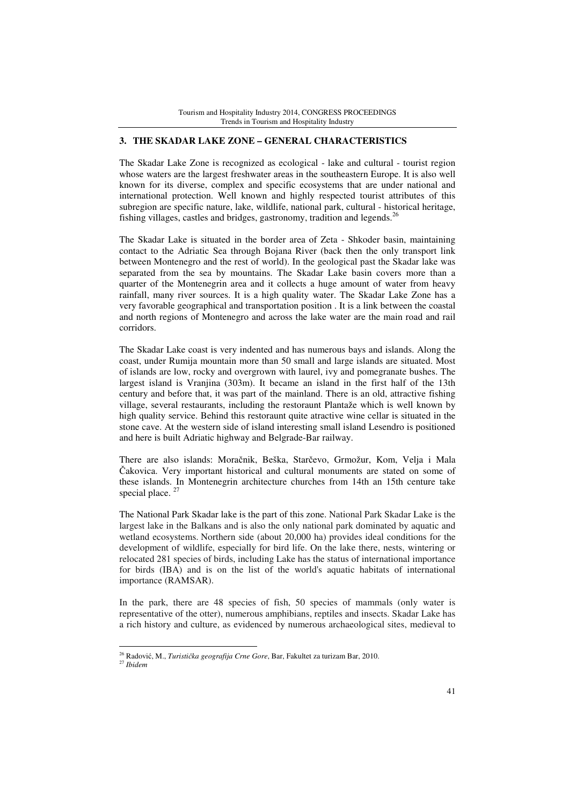### **3. THE SKADAR LAKE ZONE – GENERAL CHARACTERISTICS**

The Skadar Lake Zone is recognized as ecological - lake and cultural - tourist region whose waters are the largest freshwater areas in the southeastern Europe. It is also well known for its diverse, complex and specific ecosystems that are under national and international protection. Well known and highly respected tourist attributes of this subregion are specific nature, lake, wildlife, national park, cultural - historical heritage, fishing villages, castles and bridges, gastronomy, tradition and legends.<sup>26</sup>

The Skadar Lake is situated in the border area of Zeta - Shkoder basin, maintaining contact to the Adriatic Sea through Bojana River (back then the only transport link between Montenegro and the rest of world). In the geological past the Skadar lake was separated from the sea by mountains. The Skadar Lake basin covers more than a quarter of the Montenegrin area and it collects a huge amount of water from heavy rainfall, many river sources. It is a high quality water. The Skadar Lake Zone has a very favorable geographical and transportation position . It is a link between the coastal and north regions of Montenegro and across the lake water are the main road and rail corridors.

The Skadar Lake coast is very indented and has numerous bays and islands. Along the coast, under Rumija mountain more than 50 small and large islands are situated. Most of islands are low, rocky and overgrown with laurel, ivy and pomegranate bushes. The largest island is Vranjina (303m). It became an island in the first half of the 13th century and before that, it was part of the mainland. There is an old, attractive fishing village, several restaurants, including the restoraunt Plantaže which is well known by high quality service. Behind this restoraunt quite atractive wine cellar is situated in the stone cave. At the western side of island interesting small island Lesendro is positioned and here is built Adriatic highway and Belgrade-Bar railway.

There are also islands: Moračnik, Beška, Starčevo, Grmožur, Kom, Velja i Mala Čakovica. Very important historical and cultural monuments are stated on some of these islands. In Montenegrin architecture churches from 14th an 15th centure take special place.<sup>27</sup>

The National Park Skadar lake is the part of this zone. National Park Skadar Lake is the largest lake in the Balkans and is also the only national park dominated by aquatic and wetland ecosystems. Northern side (about 20,000 ha) provides ideal conditions for the development of wildlife, especially for bird life. On the lake there, nests, wintering or relocated 281 species of birds, including Lake has the status of international importance for birds (IBA) and is on the list of the world's aquatic habitats of international importance (RAMSAR).

In the park, there are 48 species of fish, 50 species of mammals (only water is representative of the otter), numerous amphibians, reptiles and insects. Skadar Lake has a rich history and culture, as evidenced by numerous archaeological sites, medieval to

<sup>26</sup> Radović, M., *Turisti*č*ka geografija Crne Gore*, Bar, Fakultet za turizam Bar, 2010.

<sup>27</sup> *Ibidem*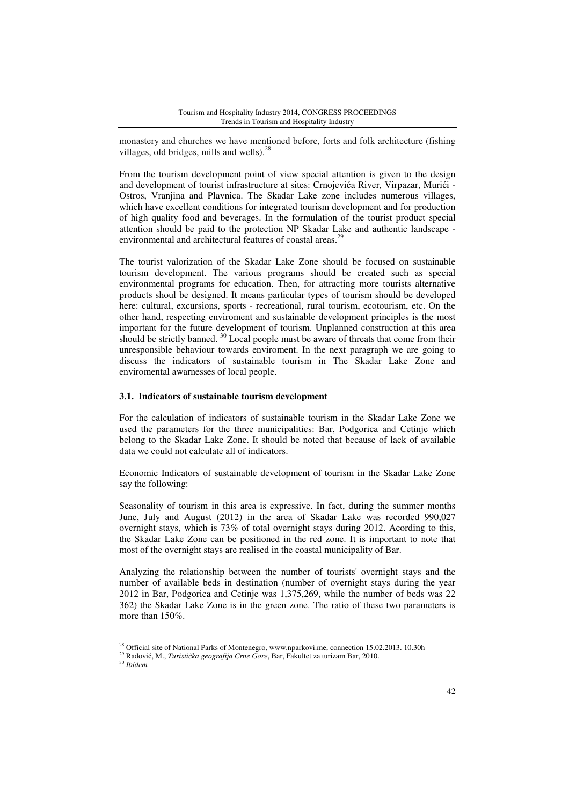monastery and churches we have mentioned before, forts and folk architecture (fishing villages, old bridges, mills and wells).<sup>28</sup>

From the tourism development point of view special attention is given to the design and development of tourist infrastructure at sites: Crnojevića River, Virpazar, Murići - Ostros, Vranjina and Plavnica. The Skadar Lake zone includes numerous villages, which have excellent conditions for integrated tourism development and for production of high quality food and beverages. In the formulation of the tourist product special attention should be paid to the protection NP Skadar Lake and authentic landscape environmental and architectural features of coastal areas.<sup>29</sup>

The tourist valorization of the Skadar Lake Zone should be focused on sustainable tourism development. The various programs should be created such as special environmental programs for education. Then, for attracting more tourists alternative products shoul be designed. It means particular types of tourism should be developed here: cultural, excursions, sports - recreational, rural tourism, ecotourism, etc. On the other hand, respecting enviroment and sustainable development principles is the most important for the future development of tourism. Unplanned construction at this area should be strictly banned. <sup>30</sup> Local people must be aware of threats that come from their unresponsible behaviour towards enviroment. In the next paragraph we are going to discuss the indicators of sustainable tourism in The Skadar Lake Zone and enviromental awarnesses of local people.

### **3.1. Indicators of sustainable tourism development**

For the calculation of indicators of sustainable tourism in the Skadar Lake Zone we used the parameters for the three municipalities: Bar, Podgorica and Cetinje which belong to the Skadar Lake Zone. It should be noted that because of lack of available data we could not calculate all of indicators.

Economic Indicators of sustainable development of tourism in the Skadar Lake Zone say the following:

Seasonality of tourism in this area is expressive. In fact, during the summer months June, July and August (2012) in the area of Skadar Lake was recorded 990,027 overnight stays, which is 73% of total overnight stays during 2012. Acording to this, the Skadar Lake Zone can be positioned in the red zone. It is important to note that most of the overnight stays are realised in the coastal municipality of Bar.

Analyzing the relationship between the number of tourists' overnight stays and the number of available beds in destination (number of overnight stays during the year 2012 in Bar, Podgorica and Cetinje was 1,375,269, while the number of beds was 22 362) the Skadar Lake Zone is in the green zone. The ratio of these two parameters is more than 150%.

<sup>&</sup>lt;sup>28</sup> Official site of National Parks of Montenegro, www.nparkovi.me, connection 15.02.2013. 10.30h

<sup>29</sup> Radović, M., *Turisti*č*ka geografija Crne Gore*, Bar, Fakultet za turizam Bar, 2010.

<sup>30</sup> *Ibidem*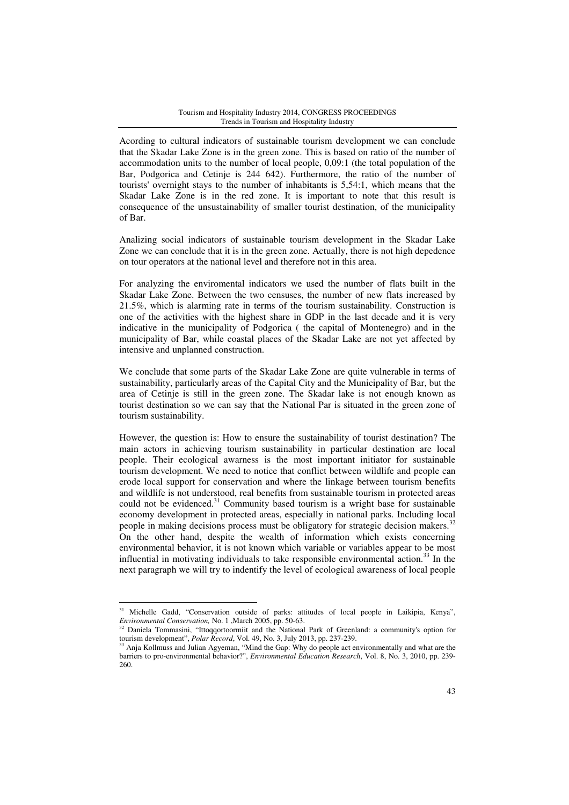Acording to cultural indicators of sustainable tourism development we can conclude that the Skadar Lake Zone is in the green zone. This is based on ratio of the number of accommodation units to the number of local people, 0,09:1 (the total population of the Bar, Podgorica and Cetinje is 244 642). Furthermore, the ratio of the number of tourists' overnight stays to the number of inhabitants is 5,54:1, which means that the Skadar Lake Zone is in the red zone. It is important to note that this result is consequence of the unsustainability of smaller tourist destination, of the municipality of Bar.

Analizing social indicators of sustainable tourism development in the Skadar Lake Zone we can conclude that it is in the green zone. Actually, there is not high depedence on tour operators at the national level and therefore not in this area.

For analyzing the enviromental indicators we used the number of flats built in the Skadar Lake Zone. Between the two censuses, the number of new flats increased by 21.5%, which is alarming rate in terms of the tourism sustainability. Construction is one of the activities with the highest share in GDP in the last decade and it is very indicative in the municipality of Podgorica ( the capital of Montenegro) and in the municipality of Bar, while coastal places of the Skadar Lake are not yet affected by intensive and unplanned construction.

We conclude that some parts of the Skadar Lake Zone are quite vulnerable in terms of sustainability, particularly areas of the Capital City and the Municipality of Bar, but the area of Cetinje is still in the green zone. The Skadar lake is not enough known as tourist destination so we can say that the National Par is situated in the green zone of tourism sustainability.

However, the question is: How to ensure the sustainability of tourist destination? The main actors in achieving tourism sustainability in particular destination are local people. Their ecological awarness is the most important initiator for sustainable tourism development. We need to notice that conflict between wildlife and people can erode local support for conservation and where the linkage between tourism benefits and wildlife is not understood, real benefits from sustainable tourism in protected areas could not be evidenced. $31$  Community based tourism is a wright base for sustainable economy development in protected areas, especially in national parks. Including local people in making decisions process must be obligatory for strategic decision makers.<sup>32</sup> On the other hand, despite the wealth of information which exists concerning environmental behavior, it is not known which variable or variables appear to be most influential in motivating individuals to take responsible environmental action.<sup>33</sup> In the next paragraph we will try to indentify the level of ecological awareness of local people

<sup>&</sup>lt;sup>31</sup> Michelle Gadd, "Conservation outside of parks: attitudes of local people in Laikipia, Kenya", *Environmental Conservation,* No. 1 ,March 2005, pp. 50-63.

<sup>&</sup>lt;sup>32</sup> Daniela Tommasini, "Ittoqqortoormiit and the National Park of Greenland: a community's option for tourism development", *Polar Record*, Vol. 49, No. 3, July 2013, pp. 237-239.

<sup>&</sup>lt;sup>33</sup> Anja Kollmuss and Julian Agyeman, "Mind the Gap: Why do people act environmentally and what are the barriers to pro-environmental behavior?", *Environmental Education Research*, Vol. 8, No. 3, 2010, pp. 239- 260.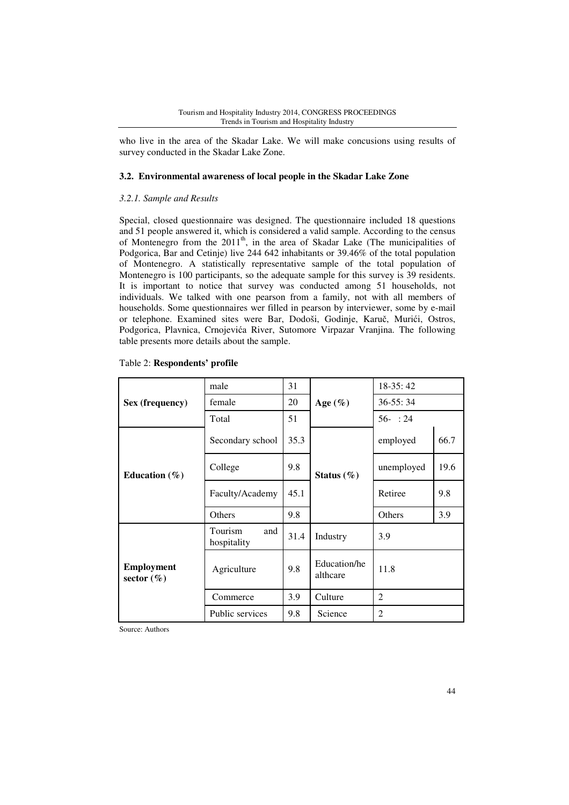who live in the area of the Skadar Lake. We will make concusions using results of survey conducted in the Skadar Lake Zone.

# **3.2. Environmental awareness of local people in the Skadar Lake Zone**

# *3.2.1. Sample and Results*

Special, closed questionnaire was designed. The questionnaire included 18 questions and 51 people answered it, which is considered a valid sample. According to the census of Montenegro from the 2011<sup>th</sup>, in the area of Skadar Lake (The municipalities of Podgorica, Bar and Cetinje) live 244 642 inhabitants or 39.46% of the total population of Montenegro. A statistically representative sample of the total population of Montenegro is 100 participants, so the adequate sample for this survey is 39 residents. It is important to notice that survey was conducted among 51 households, not individuals. We talked with one pearson from a family, not with all members of households. Some questionnaires wer filled in pearson by interviewer, some by e-mail or telephone. Examined sites were Bar, Dodoši, Godinje, Karuč, Murići, Ostros, Podgorica, Plavnica, Crnojevića River, Sutomore Virpazar Vranjina. The following table presents more details about the sample.

|                                     | male                          | 31   |                          | $18-35:42$     |      |
|-------------------------------------|-------------------------------|------|--------------------------|----------------|------|
| Sex (frequency)                     | female                        | 20   | Age $(\%)$               | $36 - 55:34$   |      |
|                                     | Total                         | 51   |                          | $56 - 24$      |      |
|                                     | Secondary school              | 35.3 |                          | employed       | 66.7 |
| Education $(\% )$                   | College                       | 9.8  | Status $(\% )$           | unemployed     | 19.6 |
|                                     | Faculty/Academy               | 45.1 |                          | Retiree        | 9.8  |
|                                     | Others                        | 9.8  |                          | Others         | 3.9  |
|                                     | Tourism<br>and<br>hospitality | 31.4 | Industry                 | 3.9            |      |
| <b>Employment</b><br>sector $(\% )$ | Agriculture                   | 9.8  | Education/he<br>althcare | 11.8           |      |
|                                     | Commerce                      | 3.9  | Culture                  | $\overline{2}$ |      |
|                                     | Public services               | 9.8  | Science                  | $\mathfrak{D}$ |      |

### Table 2: **Respondents' profile**

Source: Authors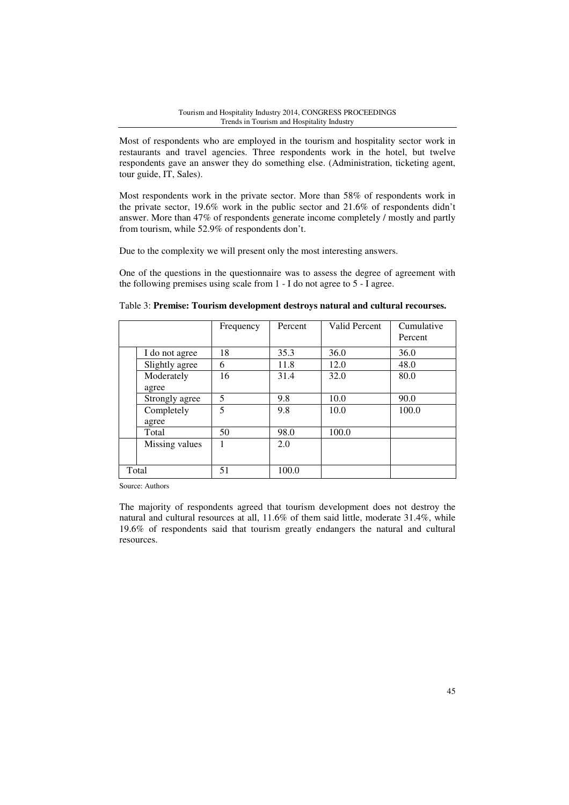Most of respondents who are employed in the tourism and hospitality sector work in restaurants and travel agencies. Three respondents work in the hotel, but twelve respondents gave an answer they do something else. (Administration, ticketing agent, tour guide, IT, Sales).

Most respondents work in the private sector. More than 58% of respondents work in the private sector, 19.6% work in the public sector and 21.6% of respondents didn't answer. More than 47% of respondents generate income completely / mostly and partly from tourism, while 52.9% of respondents don't.

Due to the complexity we will present only the most interesting answers.

One of the questions in the questionnaire was to assess the degree of agreement with the following premises using scale from 1 - I do not agree to 5 - I agree.

|                     | Frequency | Percent | <b>Valid Percent</b> | Cumulative<br>Percent |
|---------------------|-----------|---------|----------------------|-----------------------|
| I do not agree      | 18        | 35.3    | 36.0                 | 36.0                  |
| Slightly agree      | 6         | 11.8    | 12.0                 | 48.0                  |
| Moderately<br>agree | 16        | 31.4    | 32.0                 | 80.0                  |
| Strongly agree      | 5         | 9.8     | 10.0                 | 90.0                  |
| Completely<br>agree | 5         | 9.8     | 10.0                 | 100.0                 |
| Total               | 50        | 98.0    | 100.0                |                       |
| Missing values      |           | 2.0     |                      |                       |
| Total               | 51        | 100.0   |                      |                       |

Table 3: **Premise: Tourism development destroys natural and cultural recourses.** 

Source: Authors

The majority of respondents agreed that tourism development does not destroy the natural and cultural resources at all, 11.6% of them said little, moderate 31.4%, while 19.6% of respondents said that tourism greatly endangers the natural and cultural resources.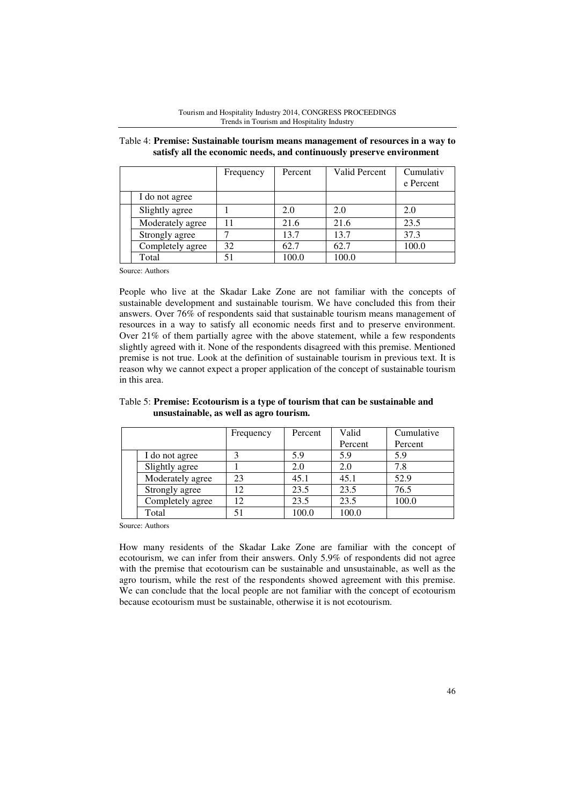|                  | Frequency | Percent | Valid Percent | Cumulativ<br>e Percent |
|------------------|-----------|---------|---------------|------------------------|
| I do not agree   |           |         |               |                        |
| Slightly agree   |           | 2.0     | 2.0           | 2.0                    |
| Moderately agree | 11        | 21.6    | 21.6          | 23.5                   |
| Strongly agree   |           | 13.7    | 13.7          | 37.3                   |
| Completely agree | 32        | 62.7    | 62.7          | 100.0                  |
| Total            | 51        | 100.0   | 100.0         |                        |

Table 4: **Premise: Sustainable tourism means management of resources in a way to satisfy all the economic needs, and continuously preserve environment** 

Source: Authors

People who live at the Skadar Lake Zone are not familiar with the concepts of sustainable development and sustainable tourism. We have concluded this from their answers. Over 76% of respondents said that sustainable tourism means management of resources in a way to satisfy all economic needs first and to preserve environment. Over 21% of them partially agree with the above statement, while a few respondents slightly agreed with it. None of the respondents disagreed with this premise. Mentioned premise is not true. Look at the definition of sustainable tourism in previous text. It is reason why we cannot expect a proper application of the concept of sustainable tourism in this area.

#### Frequency Percent Valid Percent Cumulative Percent I do not agree 3 5.9 5.9 5.9 Slightly agree 1 2.0 2.0 7.8 Moderately agree 23 45.1 45.1 52.9 Strongly agree 12 23.5 23.5 76.5

Completely agree 12 23.5 23.5 100.0

Total 51 100.0 100.0

# Table 5: **Premise: Ecotourism is a type of tourism that can be sustainable and unsustainable, as well as agro tourism.**

Source: Authors

How many residents of the Skadar Lake Zone are familiar with the concept of ecotourism, we can infer from their answers. Only 5.9% of respondents did not agree with the premise that ecotourism can be sustainable and unsustainable, as well as the agro tourism, while the rest of the respondents showed agreement with this premise. We can conclude that the local people are not familiar with the concept of ecotourism because ecotourism must be sustainable, otherwise it is not ecotourism.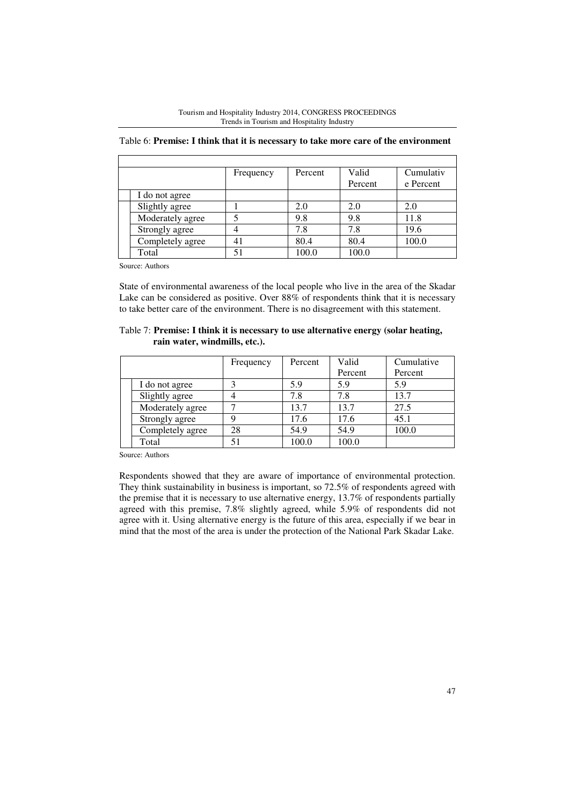|                  | Frequency | Percent | Valid   | Cumulativ |
|------------------|-----------|---------|---------|-----------|
|                  |           |         | Percent | e Percent |
| I do not agree   |           |         |         |           |
| Slightly agree   |           | 2.0     | 2.0     | 2.0       |
| Moderately agree |           | 9.8     | 9.8     | 11.8      |
| Strongly agree   |           | 7.8     | 7.8     | 19.6      |
| Completely agree | 41        | 80.4    | 80.4    | 100.0     |
| Total            | 51        | 100.0   | 100.0   |           |

Tourism and Hospitality Industry 2014, CONGRESS PROCEEDINGS Trends in Tourism and Hospitality Industry

Table 6: **Premise: I think that it is necessary to take more care of the environment** 

Source: Authors

State of environmental awareness of the local people who live in the area of the Skadar Lake can be considered as positive. Over 88% of respondents think that it is necessary to take better care of the environment. There is no disagreement with this statement.

|                               | Table 7: Premise: I think it is necessary to use alternative energy (solar heating, |
|-------------------------------|-------------------------------------------------------------------------------------|
| rain water, windmills, etc.). |                                                                                     |

|                  | Frequency | Percent | Valid   | Cumulative |
|------------------|-----------|---------|---------|------------|
|                  |           |         | Percent | Percent    |
| I do not agree   |           | 5.9     | 5.9     | 5.9        |
| Slightly agree   |           | 7.8     | 7.8     | 13.7       |
| Moderately agree |           | 13.7    | 13.7    | 27.5       |
| Strongly agree   |           | 17.6    | 17.6    | 45.1       |
| Completely agree | 28        | 54.9    | 54.9    | 100.0      |
| Total            |           | 100.0   | 100.0   |            |

Source: Authors

Respondents showed that they are aware of importance of environmental protection. They think sustainability in business is important, so 72.5% of respondents agreed with the premise that it is necessary to use alternative energy, 13.7% of respondents partially agreed with this premise, 7.8% slightly agreed, while 5.9% of respondents did not agree with it. Using alternative energy is the future of this area, especially if we bear in mind that the most of the area is under the protection of the National Park Skadar Lake.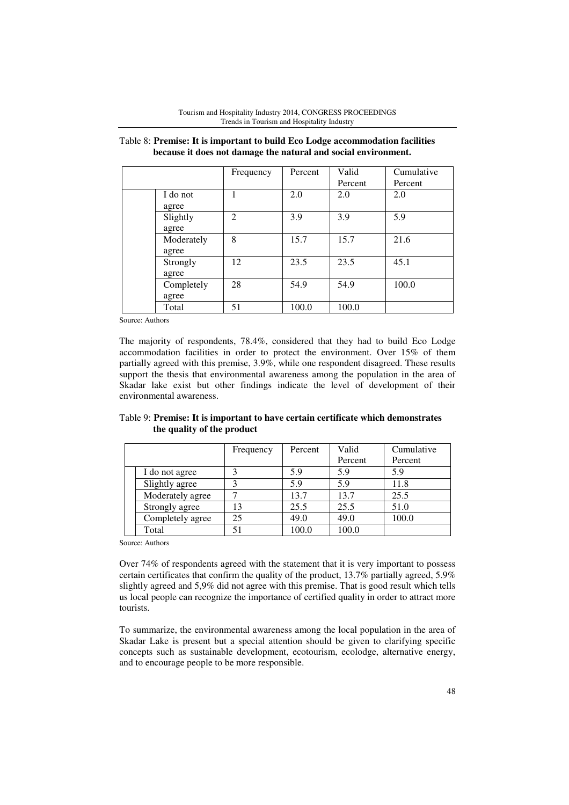|                     | Frequency      | Percent | Valid<br>Percent | Cumulative<br>Percent |
|---------------------|----------------|---------|------------------|-----------------------|
| I do not<br>agree   |                | 2.0     | 2.0              | 2.0                   |
| Slightly<br>agree   | $\mathfrak{D}$ | 3.9     | 3.9              | 5.9                   |
| Moderately<br>agree | 8              | 15.7    | 15.7             | 21.6                  |
| Strongly<br>agree   | 12             | 23.5    | 23.5             | 45.1                  |
| Completely<br>agree | 28             | 54.9    | 54.9             | 100.0                 |
| Total               | 51             | 100.0   | 100.0            |                       |

Table 8: **Premise: It is important to build Eco Lodge accommodation facilities because it does not damage the natural and social environment.** 

Source: Authors

The majority of respondents, 78.4%, considered that they had to build Eco Lodge accommodation facilities in order to protect the environment. Over 15% of them partially agreed with this premise, 3.9%, while one respondent disagreed. These results support the thesis that environmental awareness among the population in the area of Skadar lake exist but other findings indicate the level of development of their environmental awareness.

|                            | Table 9: Premise: It is important to have certain certificate which demonstrates |
|----------------------------|----------------------------------------------------------------------------------|
| the quality of the product |                                                                                  |

|                  | Frequency | Percent | Valid   | Cumulative |
|------------------|-----------|---------|---------|------------|
|                  |           |         | Percent | Percent    |
| I do not agree   |           | 5.9     | 5.9     | 5.9        |
| Slightly agree   |           | 5.9     | 5.9     | 11.8       |
| Moderately agree |           | 13.7    | 13.7    | 25.5       |
| Strongly agree   | 13        | 25.5    | 25.5    | 51.0       |
| Completely agree | 25        | 49.0    | 49.0    | 100.0      |
| Total            |           | 100.0   | 100.0   |            |

Source: Authors

Over 74% of respondents agreed with the statement that it is very important to possess certain certificates that confirm the quality of the product, 13.7% partially agreed, 5.9% slightly agreed and 5,9% did not agree with this premise. That is good result which tells us local people can recognize the importance of certified quality in order to attract more tourists.

To summarize, the environmental awareness among the local population in the area of Skadar Lake is present but a special attention should be given to clarifying specific concepts such as sustainable development, ecotourism, ecolodge, alternative energy, and to encourage people to be more responsible.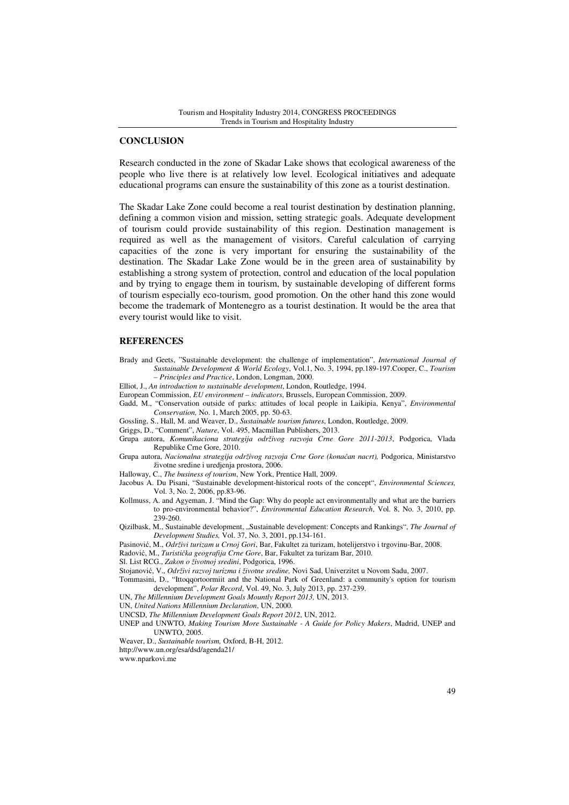#### **CONCLUSION**

Research conducted in the zone of Skadar Lake shows that ecological awareness of the people who live there is at relatively low level. Ecological initiatives and adequate educational programs can ensure the sustainability of this zone as a tourist destination.

The Skadar Lake Zone could become a real tourist destination by destination planning, defining a common vision and mission, setting strategic goals. Adequate development of tourism could provide sustainability of this region. Destination management is required as well as the management of visitors. Careful calculation of carrying capacities of the zone is very important for ensuring the sustainability of the destination. The Skadar Lake Zone would be in the green area of sustainability by establishing a strong system of protection, control and education of the local population and by trying to engage them in tourism, by sustainable developing of different forms of tourism especially eco-tourism, good promotion. On the other hand this zone would become the trademark of Montenegro as a tourist destination. It would be the area that every tourist would like to visit.

# **REFERENCES**

- Brady and Geets, "Sustainable development: the challenge of implementation", *International Journal of Sustainable Development & World Ecology*, Vol.1, No. 3, 1994, pp.189-197.Cooper, C., *Tourism – Principles and Practice*, London, Longman, 2000.
- Elliot, J., *An introduction to sustainable development*, London, Routledge, 1994.
- European Commission, *EU environment indicators*, Brussels, European Commission, 2009.
- Gadd, M., "Conservation outside of parks: attitudes of local people in Laikipia, Kenya", *Environmental Conservation,* No. 1, March 2005, pp. 50-63.
- Gossling, S., Hall, M. and Weaver, D., *Sustainable tourism futures*, London, Routledge, 2009.
- Griggs, D., "Comment", *Nature*, Vol. 495, Macmillan Publishers, 2013.
- Grupa autora, *Komunikaciona strategija održivog razvoja Crne Gore 2011-2013*, Podgorica, Vlada Republike Crne Gore, 2010.
- Grupa autora, *Nacionalna strategija održivog razvoja Crne Gore (kona*č*an nacrt),* Podgorica, Ministarstvo životne sredine i uredjenja prostora, 2006.

Halloway, C., *The business of tourism*, New York, Prentice Hall, 2009.

- Jacobus A. Du Pisani, "Sustainable development-historical roots of the concept", *Environmental Sciences,* Vol. 3, No. 2, 2006, pp.83-96.
- Kollmuss, A. and Agyeman, J. "Mind the Gap: Why do people act environmentally and what are the barriers to pro-environmental behavior?", *Environmental Education Research*, Vol. 8, No. 3, 2010, pp. 239-260.
- Qizilbask, M., Sustainable development, "Sustainable development: Concepts and Rankings", *The Journal of Development Studies,* Vol. 37, No. 3, 2001, pp.134-161.
- Pasinović, M., *Održivi turizam u Crnoj Gori*, Bar, Fakultet za turizam, hotelijerstvo i trgovinu-Bar, 2008.
- Radović, M., *Turisti*č*ka geografija Crne Gore*, Bar, Fakultet za turizam Bar, 2010.
- Sl. List RCG., *Zakon o životnoj sredini*, Podgorica, 1996.
- Stojanović, V., *Održivi razvoj turizma i životne sredine,* Novi Sad, Univerzitet u Novom Sadu, 2007.
- Tommasini, D., "Ittoqqortoormiit and the National Park of Greenland: a community's option for tourism development", *Polar Record*, Vol. 49, No. 3, July 2013, pp. 237-239.
- UN, *The Millennium Development Goals Mountly Report 2013,* UN, 2013.
- UN, *United Nations Millennium Declaration*, UN, 2000.
- UNCSD, *The Millennium Development Goals Report 2012*, UN, 2012.
- UNEP and UNWTO, *Making Tourism More Sustainable A Guide for Policy Makers*, Madrid, UNEP and UNWTO, 2005.
- Weaver, D., *Sustainable tourism,* Oxford, B-H, 2012.
- http://www.un.org/esa/dsd/agenda21/

www.nparkovi.me